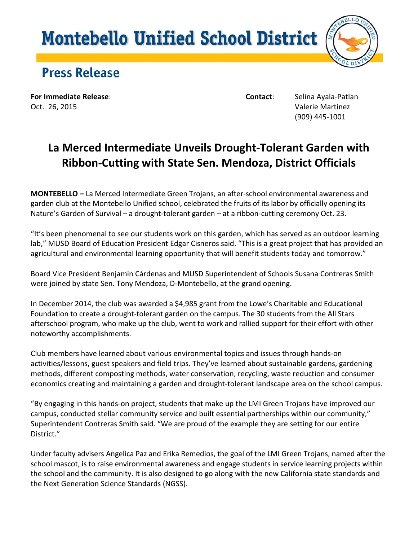## **Montebello Unified School District**



## **Press Release**

**For Immediate Release**: **Contact**: Selina Ayala-Patlan Oct. 26, 2015 Valerie Martinez

(909) 445-1001

## **La Merced Intermediate Unveils Drought-Tolerant Garden with Ribbon-Cutting with State Sen. Mendoza, District Officials**

**MONTEBELLO** *–* La Merced Intermediate Green Trojans, an after-school environmental awareness and garden club at the Montebello Unified school, celebrated the fruits of its labor by officially opening its Nature's Garden of Survival – a drought-tolerant garden – at a ribbon-cutting ceremony Oct. 23.

"It's been phenomenal to see our students work on this garden, which has served as an outdoor learning lab," MUSD Board of Education President Edgar Cisneros said. "This is a great project that has provided an agricultural and environmental learning opportunity that will benefit students today and tomorrow."

Board Vice President Benjamin Cárdenas and MUSD Superintendent of Schools Susana Contreras Smith were joined by state Sen. Tony Mendoza, D-Montebello, at the grand opening.

In December 2014, the club was awarded a \$4,985 grant from the Lowe's Charitable and Educational Foundation to create a drought-tolerant garden on the campus. The 30 students from the All Stars afterschool program, who make up the club, went to work and rallied support for their effort with other noteworthy accomplishments.

Club members have learned about various environmental topics and issues through hands-on activities/lessons, guest speakers and field trips. They've learned about sustainable gardens, gardening methods, different composting methods, water conservation, recycling, waste reduction and consumer economics creating and maintaining a garden and drought-tolerant landscape area on the school campus.

"By engaging in this hands-on project, students that make up the LMI Green Trojans have improved our campus, conducted stellar community service and built essential partnerships within our community," Superintendent Contreras Smith said. "We are proud of the example they are setting for our entire District."

Under faculty advisers Angelica Paz and Erika Remedios, the goal of the LMI Green Trojans, named after the school mascot, is to raise environmental awareness and engage students in service learning projects within the school and the community. It is also designed to go along with the new California state standards and the Next Generation Science Standards (NGSS).